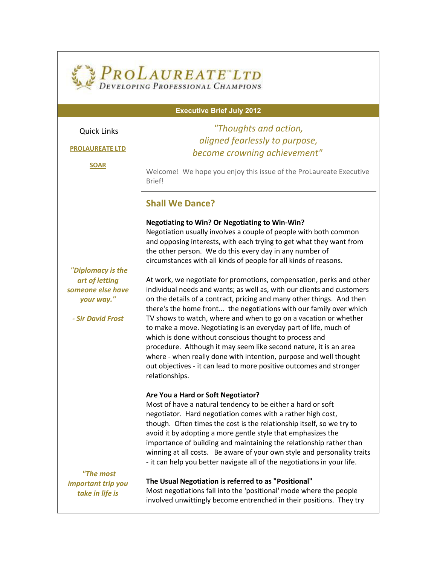## PROLAUREATE LTD DEVELOPING PROFESSIONAL CHAMPIONS

#### **Executive Brief July 2012**

## Quick Links

# **[PROLAUREATE LTD](http://r20.rs6.net/tn.jsp?e=0010IXP5rzxtSRUceGXGL6iBZDHLVt7xND5C9XLPIE3xFErl4VJXDb4M8l68TxNkOAX7Y_7SwGq8HWiAA9jTubw4zzKZhzW7nEAxGXL5r33AkA=)**

## *"Thoughts and action, aligned fearlessly to purpose, become crowning achievement"*

**[SOAR](http://r20.rs6.net/tn.jsp?e=0010IXP5rzxtSQAtJ5B633ztgxoHZtcpm9pg6aZwxexGBsW7zmBAw-6MPQBgvOUmn5sdWPFL0Txg-Tu8H8bCEaJtXZS1flD2xKFlk8_gCXiIBU=)**

Welcome! We hope you enjoy this issue of the ProLaureate Executive Brief!

## **Shall We Dance?**

### **Negotiating to Win? Or Negotiating to Win-Win?**

Negotiation usually involves a couple of people with both common and opposing interests, with each trying to get what they want from the other person. We do this every day in any number of circumstances with all kinds of people for all kinds of reasons.

*"Diplomacy is the art of letting someone else have your way."*

*- Sir David Frost* 

At work, we negotiate for promotions, compensation, perks and other individual needs and wants; as well as, with our clients and customers on the details of a contract, pricing and many other things. And then there's the home front... the negotiations with our family over which TV shows to watch, where and when to go on a vacation or whether to make a move. Negotiating is an everyday part of life, much of which is done without conscious thought to process and procedure. Although it may seem like second nature, it is an area where - when really done with intention, purpose and well thought out objectives - it can lead to more positive outcomes and stronger relationships.

### **Are You a Hard or Soft Negotiator?**

Most of have a natural tendency to be either a hard or soft negotiator. Hard negotiation comes with a rather high cost, though. Often times the cost is the relationship itself, so we try to avoid it by adopting a more gentle style that emphasizes the importance of building and maintaining the relationship rather than winning at all costs. Be aware of your own style and personality traits - it can help you better navigate all of the negotiations in your life.

*"The most important trip you take in life is* 

**The Usual Negotiation is referred to as "Positional"** Most negotiations fall into the 'positional' mode where the people involved unwittingly become entrenched in their positions. They try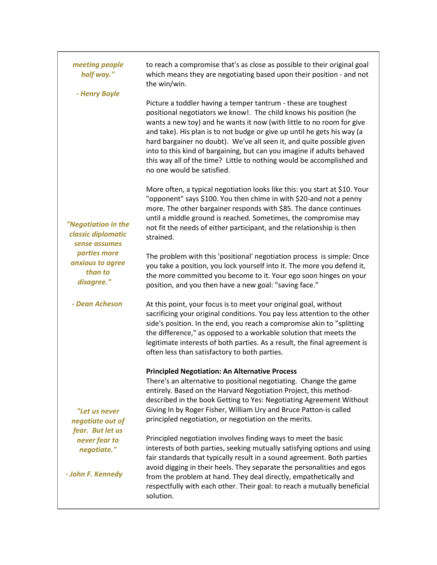| meeting people<br>half way."<br>- Henry Boyle                                                                           | to reach a compromise that's as close as possible to their original goal<br>which means they are negotiating based upon their position - and not<br>the win/win.                                                                                                                                                                                                                                                                                                                                                                                  |
|-------------------------------------------------------------------------------------------------------------------------|---------------------------------------------------------------------------------------------------------------------------------------------------------------------------------------------------------------------------------------------------------------------------------------------------------------------------------------------------------------------------------------------------------------------------------------------------------------------------------------------------------------------------------------------------|
| "Negotiation in the<br>classic diplomatic<br>sense assumes<br>parties more<br>anxious to agree<br>than to<br>disagree." | Picture a toddler having a temper tantrum - these are toughest<br>positional negotiators we know!. The child knows his position (he<br>wants a new toy) and he wants it now (with little to no room for give<br>and take). His plan is to not budge or give up until he gets his way (a<br>hard bargainer no doubt). We've all seen it, and quite possible given<br>into to this kind of bargaining, but can you imagine if adults behaved<br>this way all of the time? Little to nothing would be accomplished and<br>no one would be satisfied. |
|                                                                                                                         | More often, a typical negotiation looks like this: you start at \$10. Your<br>"opponent" says \$100. You then chime in with \$20-and not a penny<br>more. The other bargainer responds with \$85. The dance continues<br>until a middle ground is reached. Sometimes, the compromise may<br>not fit the needs of either participant, and the relationship is then<br>strained.                                                                                                                                                                    |
|                                                                                                                         | The problem with this 'positional' negotiation process is simple: Once<br>you take a position, you lock yourself into it. The more you defend it,<br>the more committed you become to it. Your ego soon hinges on your<br>position, and you then have a new goal: "saving face."                                                                                                                                                                                                                                                                  |
| - Dean Acheson                                                                                                          | At this point, your focus is to meet your original goal, without<br>sacrificing your original conditions. You pay less attention to the other<br>side's position. In the end, you reach a compromise akin to "splitting<br>the difference," as opposed to a workable solution that meets the<br>legitimate interests of both parties. As a result, the final agreement is<br>often less than satisfactory to both parties.                                                                                                                        |
| "Let us never<br>negotiate out of<br>fear. But let us<br>never fear to<br>negotiate."<br>- John F. Kennedy              | <b>Principled Negotiation: An Alternative Process</b><br>There's an alternative to positional negotiating. Change the game<br>entirely. Based on the Harvard Negotiation Project, this method-<br>described in the book Getting to Yes: Negotiating Agreement Without<br>Giving In by Roger Fisher, William Ury and Bruce Patton-is called<br>principled negotiation, or negotiation on the merits.                                                                                                                                               |
|                                                                                                                         | Principled negotiation involves finding ways to meet the basic<br>interests of both parties, seeking mutually satisfying options and using<br>fair standards that typically result in a sound agreement. Both parties<br>avoid digging in their heels. They separate the personalities and egos<br>from the problem at hand. They deal directly, empathetically and<br>respectfully with each other. Their goal: to reach a mutually beneficial<br>solution.                                                                                      |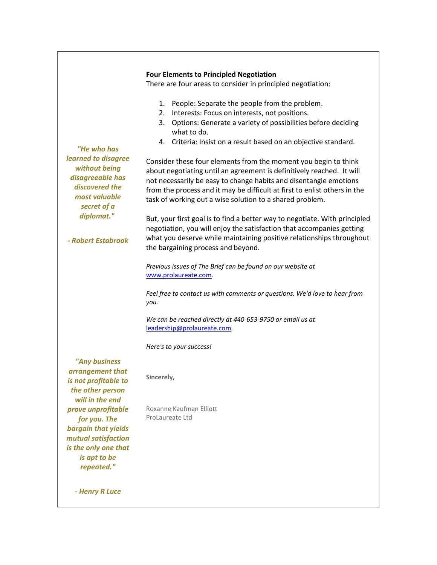